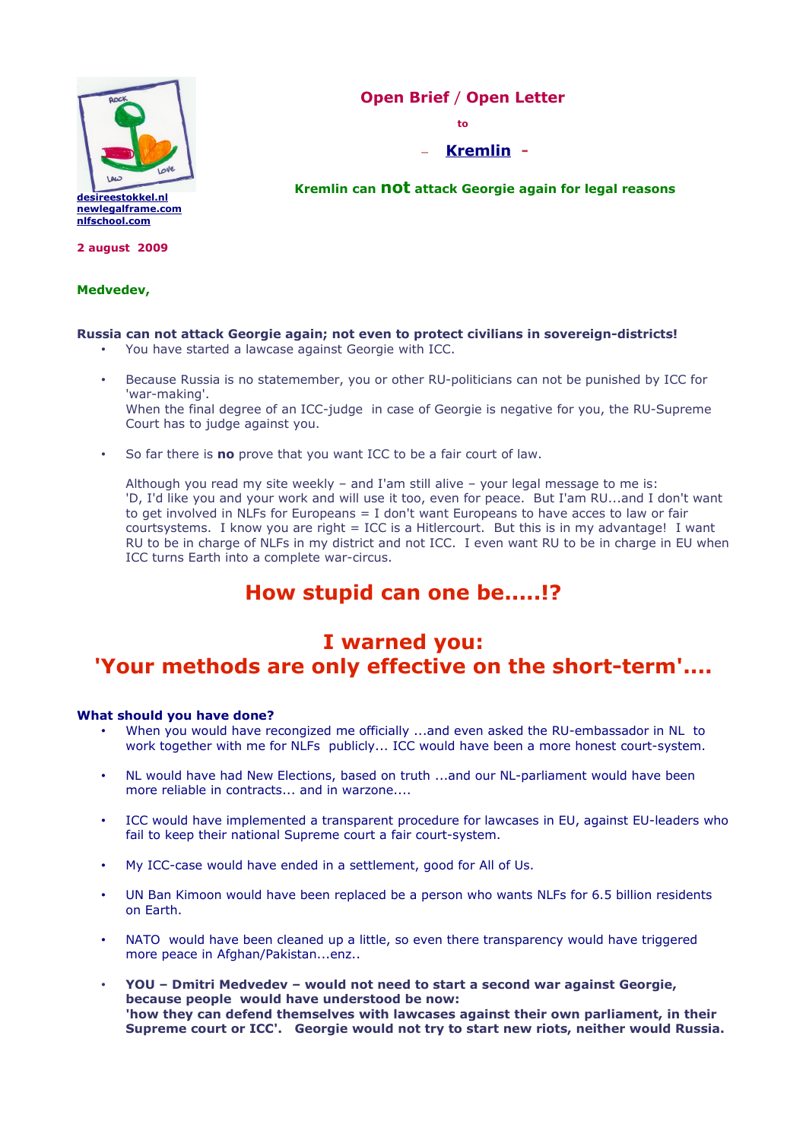

### **Open Brief** / **Open Letter**

**to**

– **[Kremlin](http://www.kremlin.ru/eng/) -**

**Kremlin can not attack Georgie again for legal reasons** 

**2 august 2009**

### **Medvedev,**

### **Russia can not attack Georgie again; not even to protect civilians in sovereign-districts!**

- You have started a lawcase against Georgie with ICC.
- Because Russia is no statemember, you or other RU-politicians can not be punished by ICC for 'war-making'. When the final degree of an ICC-judge in case of Georgie is negative for you, the RU-Supreme Court has to judge against you.
- So far there is **no** prove that you want ICC to be a fair court of law.

Although you read my site weekly – and I'am still alive – your legal message to me is: 'D, I'd like you and your work and will use it too, even for peace. But I'am RU...and I don't want to get involved in NLFs for Europeans = I don't want Europeans to have acces to law or fair courtsystems. I know you are right  $=$  ICC is a Hitlercourt. But this is in my advantage! I want RU to be in charge of NLFs in my district and not ICC. I even want RU to be in charge in EU when ICC turns Earth into a complete war-circus.

# **How stupid can one be.....!?**

## **I warned you: 'Your methods are only effective on the short-term'....**

### **What should you have done?**

- When you would have recongized me officially ...and even asked the RU-embassador in NL to work together with me for NLFs publicly... ICC would have been a more honest court-system.
- NL would have had New Elections, based on truth ...and our NL-parliament would have been more reliable in contracts... and in warzone....
- ICC would have implemented a transparent procedure for lawcases in EU, against EU-leaders who fail to keep their national Supreme court a fair court-system.
- My ICC-case would have ended in a settlement, good for All of Us.
- UN Ban Kimoon would have been replaced be a person who wants NLFs for 6.5 billion residents on Earth.
- NATO would have been cleaned up a little, so even there transparency would have triggered more peace in Afghan/Pakistan...enz..
- **YOU Dmitri Medvedev would not need to start a second war against Georgie, because people would have understood be now: 'how they can defend themselves with lawcases against their own parliament, in their Supreme court or ICC'. Georgie would not try to start new riots, neither would Russia.**